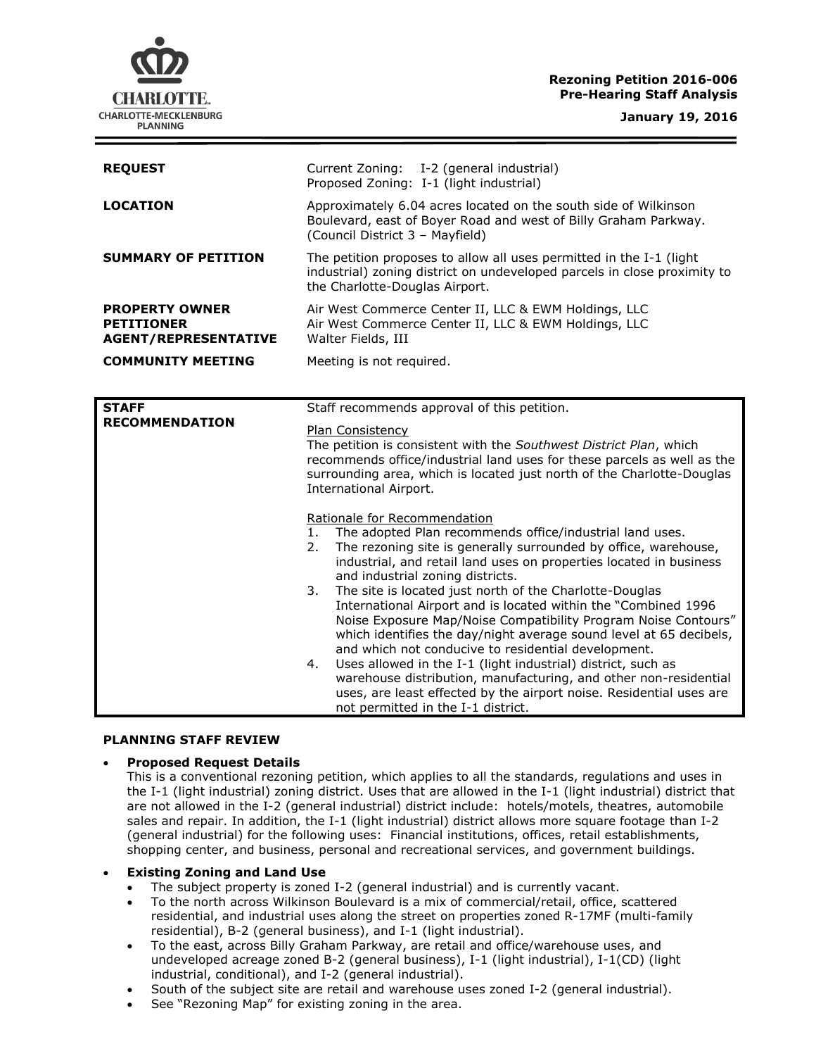# **Rezoning Petition 2016-006 Pre-Hearing Staff Analysis**

CHARLOTTE. CHARLOTTE-MECKLENBURG **PLANNING** 

**January 19, 2016**

| <b>REQUEST</b>                                                            | Current Zoning: I-2 (general industrial)<br>Proposed Zoning: I-1 (light industrial)                                                                                                                                                                                                                                                                                                                                                                                                                                                                                                                                                                                                                                                                                                                                                                                        |
|---------------------------------------------------------------------------|----------------------------------------------------------------------------------------------------------------------------------------------------------------------------------------------------------------------------------------------------------------------------------------------------------------------------------------------------------------------------------------------------------------------------------------------------------------------------------------------------------------------------------------------------------------------------------------------------------------------------------------------------------------------------------------------------------------------------------------------------------------------------------------------------------------------------------------------------------------------------|
| <b>LOCATION</b>                                                           | Approximately 6.04 acres located on the south side of Wilkinson<br>Boulevard, east of Boyer Road and west of Billy Graham Parkway.<br>(Council District 3 - Mayfield)                                                                                                                                                                                                                                                                                                                                                                                                                                                                                                                                                                                                                                                                                                      |
| <b>SUMMARY OF PETITION</b>                                                | The petition proposes to allow all uses permitted in the I-1 (light<br>industrial) zoning district on undeveloped parcels in close proximity to<br>the Charlotte-Douglas Airport.                                                                                                                                                                                                                                                                                                                                                                                                                                                                                                                                                                                                                                                                                          |
| <b>PROPERTY OWNER</b><br><b>PETITIONER</b><br><b>AGENT/REPRESENTATIVE</b> | Air West Commerce Center II, LLC & EWM Holdings, LLC<br>Air West Commerce Center II, LLC & EWM Holdings, LLC<br>Walter Fields, III                                                                                                                                                                                                                                                                                                                                                                                                                                                                                                                                                                                                                                                                                                                                         |
| <b>COMMUNITY MEETING</b>                                                  | Meeting is not required.                                                                                                                                                                                                                                                                                                                                                                                                                                                                                                                                                                                                                                                                                                                                                                                                                                                   |
|                                                                           |                                                                                                                                                                                                                                                                                                                                                                                                                                                                                                                                                                                                                                                                                                                                                                                                                                                                            |
| <b>STAFF</b><br><b>RECOMMENDATION</b>                                     | Staff recommends approval of this petition.                                                                                                                                                                                                                                                                                                                                                                                                                                                                                                                                                                                                                                                                                                                                                                                                                                |
|                                                                           | <b>Plan Consistency</b><br>The petition is consistent with the Southwest District Plan, which<br>recommends office/industrial land uses for these parcels as well as the<br>surrounding area, which is located just north of the Charlotte-Douglas<br>International Airport.                                                                                                                                                                                                                                                                                                                                                                                                                                                                                                                                                                                               |
|                                                                           | Rationale for Recommendation<br>The adopted Plan recommends office/industrial land uses.<br>1.<br>The rezoning site is generally surrounded by office, warehouse,<br>2.<br>industrial, and retail land uses on properties located in business<br>and industrial zoning districts.<br>The site is located just north of the Charlotte-Douglas<br>3.<br>International Airport and is located within the "Combined 1996<br>Noise Exposure Map/Noise Compatibility Program Noise Contours"<br>which identifies the day/night average sound level at 65 decibels,<br>and which not conducive to residential development.<br>Uses allowed in the I-1 (light industrial) district, such as<br>4.<br>warehouse distribution, manufacturing, and other non-residential<br>uses, are least effected by the airport noise. Residential uses are<br>not permitted in the I-1 district. |

#### **PLANNING STAFF REVIEW**

# **Proposed Request Details**

This is a conventional rezoning petition, which applies to all the standards, regulations and uses in the I-1 (light industrial) zoning district. Uses that are allowed in the I-1 (light industrial) district that are not allowed in the I-2 (general industrial) district include: hotels/motels, theatres, automobile sales and repair. In addition, the I-1 (light industrial) district allows more square footage than I-2 (general industrial) for the following uses: Financial institutions, offices, retail establishments, shopping center, and business, personal and recreational services, and government buildings.

### **Existing Zoning and Land Use**

- The subject property is zoned I-2 (general industrial) and is currently vacant.
- To the north across Wilkinson Boulevard is a mix of commercial/retail, office, scattered residential, and industrial uses along the street on properties zoned R-17MF (multi-family residential), B-2 (general business), and I-1 (light industrial).
- To the east, across Billy Graham Parkway, are retail and office/warehouse uses, and undeveloped acreage zoned B-2 (general business), I-1 (light industrial), I-1(CD) (light industrial, conditional), and I-2 (general industrial).
- South of the subject site are retail and warehouse uses zoned I-2 (general industrial).
- See "Rezoning Map" for existing zoning in the area.